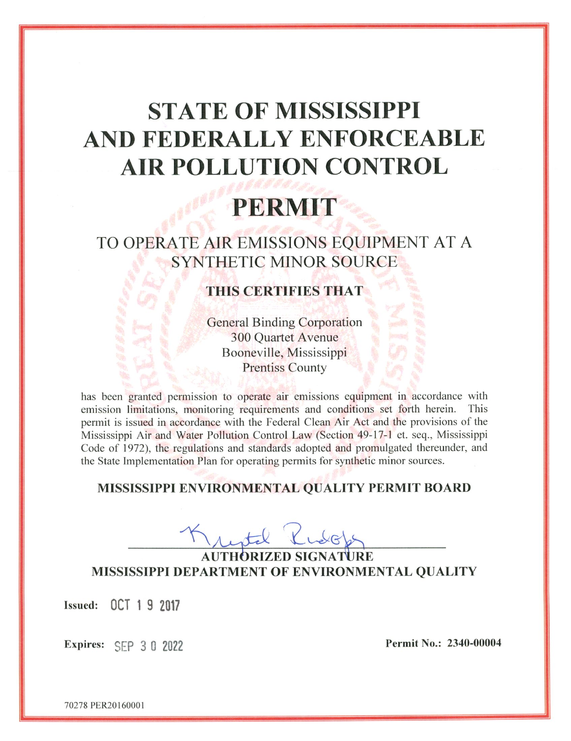# **STATE OF MISSISSIPPI** AND FEDERALLY ENFORCEABLE **AIR POLLUTION CONTROL**

# PERMIT

# TO OPERATE AIR EMISSIONS EQUIPMENT AT A SYNTHETIC MINOR SOURCE

# **THIS CERTIFIES THAT**

**General Binding Corporation 300 Quartet Avenue** Booneville, Mississippi **Prentiss County** 

has been granted permission to operate air emissions equipment in accordance with emission limitations, monitoring requirements and conditions set forth herein. This permit is issued in accordance with the Federal Clean Air Act and the provisions of the Mississippi Air and Water Pollution Control Law (Section 49-17-1 et. seq., Mississippi Code of 1972), the regulations and standards adopted and promulgated thereunder, and the State Implementation Plan for operating permits for synthetic minor sources.

# MISSISSIPPI ENVIRONMENTAL QUALITY PERMIT BOARD

**MISSISSIPPI DEPARTMENT OF ENVIRONMENTAL QUALITY** 

Issued: 0CT 1 9 2017

Expires: SEP 3 0 2022

Permit No.: 2340-00004

70278 PER20160001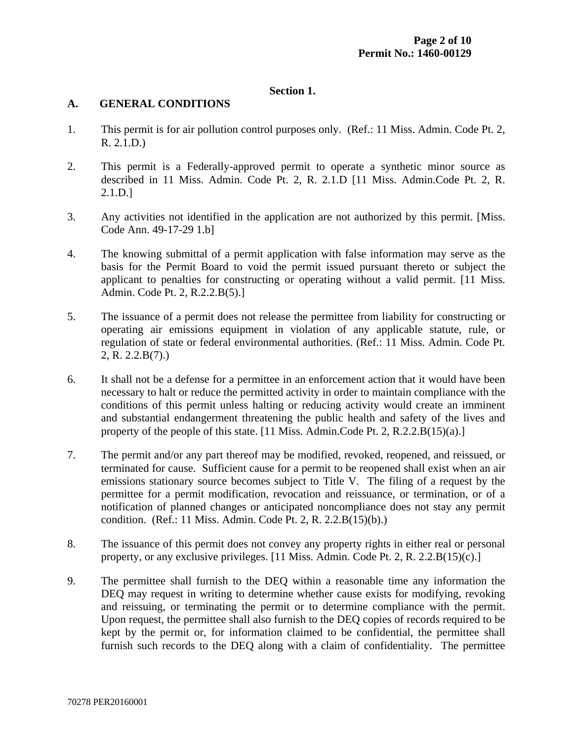#### **Section 1.**

#### **A. GENERAL CONDITIONS**

- 1. This permit is for air pollution control purposes only. (Ref.: 11 Miss. Admin. Code Pt. 2, R. 2.1.D.)
- 2. This permit is a Federally-approved permit to operate a synthetic minor source as described in 11 Miss. Admin. Code Pt. 2, R. 2.1.D [11 Miss. Admin.Code Pt. 2, R. 2.1.D.]
- 3. Any activities not identified in the application are not authorized by this permit. [Miss. Code Ann. 49-17-29 1.b]
- 4. The knowing submittal of a permit application with false information may serve as the basis for the Permit Board to void the permit issued pursuant thereto or subject the applicant to penalties for constructing or operating without a valid permit. [11 Miss. Admin. Code Pt. 2, R.2.2.B(5).]
- 5. The issuance of a permit does not release the permittee from liability for constructing or operating air emissions equipment in violation of any applicable statute, rule, or regulation of state or federal environmental authorities. (Ref.: 11 Miss. Admin. Code Pt. 2, R. 2.2.B(7).)
- 6. It shall not be a defense for a permittee in an enforcement action that it would have been necessary to halt or reduce the permitted activity in order to maintain compliance with the conditions of this permit unless halting or reducing activity would create an imminent and substantial endangerment threatening the public health and safety of the lives and property of the people of this state. [11 Miss. Admin.Code Pt. 2, R.2.2.B(15)(a).]
- 7. The permit and/or any part thereof may be modified, revoked, reopened, and reissued, or terminated for cause. Sufficient cause for a permit to be reopened shall exist when an air emissions stationary source becomes subject to Title V. The filing of a request by the permittee for a permit modification, revocation and reissuance, or termination, or of a notification of planned changes or anticipated noncompliance does not stay any permit condition. (Ref.: 11 Miss. Admin. Code Pt. 2, R. 2.2.B(15)(b).)
- 8. The issuance of this permit does not convey any property rights in either real or personal property, or any exclusive privileges. [11 Miss. Admin. Code Pt. 2, R. 2.2.B(15)(c).]
- 9. The permittee shall furnish to the DEQ within a reasonable time any information the DEQ may request in writing to determine whether cause exists for modifying, revoking and reissuing, or terminating the permit or to determine compliance with the permit. Upon request, the permittee shall also furnish to the DEQ copies of records required to be kept by the permit or, for information claimed to be confidential, the permittee shall furnish such records to the DEQ along with a claim of confidentiality. The permittee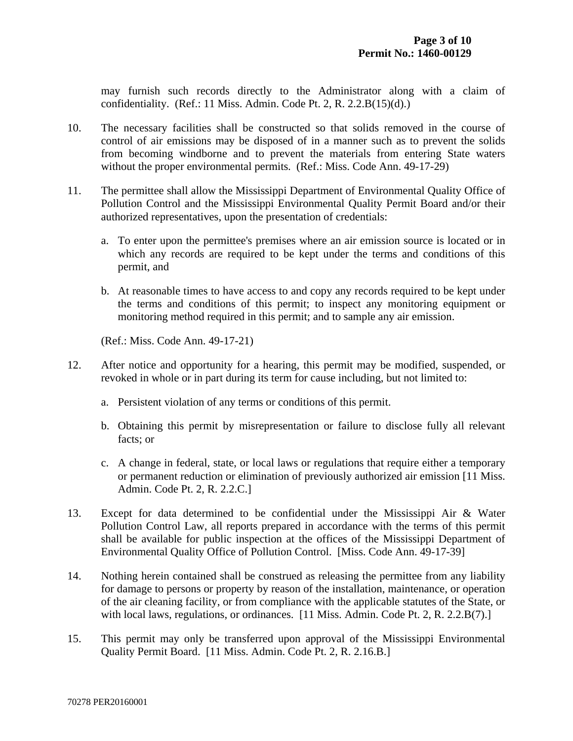may furnish such records directly to the Administrator along with a claim of confidentiality. (Ref.: 11 Miss. Admin. Code Pt. 2, R.  $2.2.B(15)(d)$ .)

- 10. The necessary facilities shall be constructed so that solids removed in the course of control of air emissions may be disposed of in a manner such as to prevent the solids from becoming windborne and to prevent the materials from entering State waters without the proper environmental permits. (Ref.: Miss. Code Ann. 49-17-29)
- 11. The permittee shall allow the Mississippi Department of Environmental Quality Office of Pollution Control and the Mississippi Environmental Quality Permit Board and/or their authorized representatives, upon the presentation of credentials:
	- a. To enter upon the permittee's premises where an air emission source is located or in which any records are required to be kept under the terms and conditions of this permit, and
	- b. At reasonable times to have access to and copy any records required to be kept under the terms and conditions of this permit; to inspect any monitoring equipment or monitoring method required in this permit; and to sample any air emission.

(Ref.: Miss. Code Ann. 49-17-21)

- 12. After notice and opportunity for a hearing, this permit may be modified, suspended, or revoked in whole or in part during its term for cause including, but not limited to:
	- a. Persistent violation of any terms or conditions of this permit.
	- b. Obtaining this permit by misrepresentation or failure to disclose fully all relevant facts; or
	- c. A change in federal, state, or local laws or regulations that require either a temporary or permanent reduction or elimination of previously authorized air emission [11 Miss. Admin. Code Pt. 2, R. 2.2.C.]
- 13. Except for data determined to be confidential under the Mississippi Air & Water Pollution Control Law, all reports prepared in accordance with the terms of this permit shall be available for public inspection at the offices of the Mississippi Department of Environmental Quality Office of Pollution Control. [Miss. Code Ann. 49-17-39]
- 14. Nothing herein contained shall be construed as releasing the permittee from any liability for damage to persons or property by reason of the installation, maintenance, or operation of the air cleaning facility, or from compliance with the applicable statutes of the State, or with local laws, regulations, or ordinances. [11 Miss. Admin. Code Pt. 2, R. 2.2.B(7).]
- 15. This permit may only be transferred upon approval of the Mississippi Environmental Quality Permit Board. [11 Miss. Admin. Code Pt. 2, R. 2.16.B.]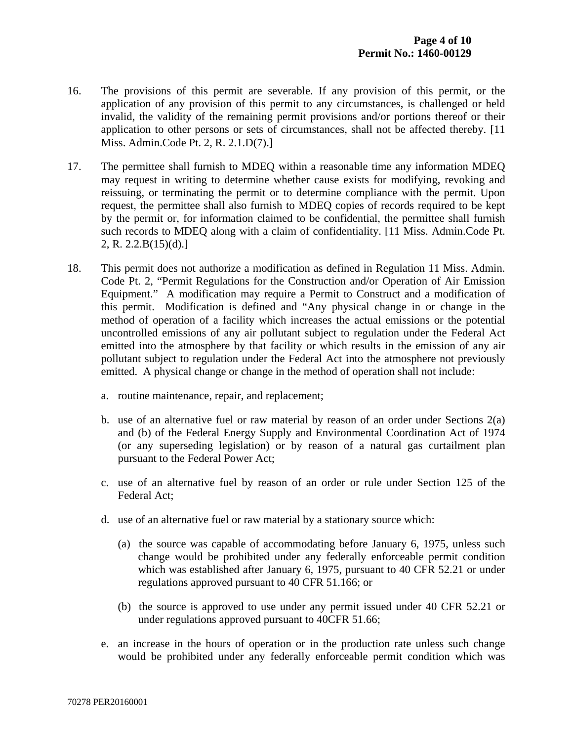- 16. The provisions of this permit are severable. If any provision of this permit, or the application of any provision of this permit to any circumstances, is challenged or held invalid, the validity of the remaining permit provisions and/or portions thereof or their application to other persons or sets of circumstances, shall not be affected thereby. [11 Miss. Admin.Code Pt. 2, R. 2.1.D(7).]
- 17. The permittee shall furnish to MDEQ within a reasonable time any information MDEQ may request in writing to determine whether cause exists for modifying, revoking and reissuing, or terminating the permit or to determine compliance with the permit. Upon request, the permittee shall also furnish to MDEQ copies of records required to be kept by the permit or, for information claimed to be confidential, the permittee shall furnish such records to MDEQ along with a claim of confidentiality. [11 Miss. Admin.Code Pt. 2, R. 2.2.B(15)(d).]
- 18. This permit does not authorize a modification as defined in Regulation 11 Miss. Admin. Code Pt. 2, "Permit Regulations for the Construction and/or Operation of Air Emission Equipment." A modification may require a Permit to Construct and a modification of this permit. Modification is defined and "Any physical change in or change in the method of operation of a facility which increases the actual emissions or the potential uncontrolled emissions of any air pollutant subject to regulation under the Federal Act emitted into the atmosphere by that facility or which results in the emission of any air pollutant subject to regulation under the Federal Act into the atmosphere not previously emitted. A physical change or change in the method of operation shall not include:
	- a. routine maintenance, repair, and replacement;
	- b. use of an alternative fuel or raw material by reason of an order under Sections 2(a) and (b) of the Federal Energy Supply and Environmental Coordination Act of 1974 (or any superseding legislation) or by reason of a natural gas curtailment plan pursuant to the Federal Power Act;
	- c. use of an alternative fuel by reason of an order or rule under Section 125 of the Federal Act;
	- d. use of an alternative fuel or raw material by a stationary source which:
		- (a) the source was capable of accommodating before January 6, 1975, unless such change would be prohibited under any federally enforceable permit condition which was established after January 6, 1975, pursuant to 40 CFR 52.21 or under regulations approved pursuant to 40 CFR 51.166; or
		- (b) the source is approved to use under any permit issued under 40 CFR 52.21 or under regulations approved pursuant to 40CFR 51.66;
	- e. an increase in the hours of operation or in the production rate unless such change would be prohibited under any federally enforceable permit condition which was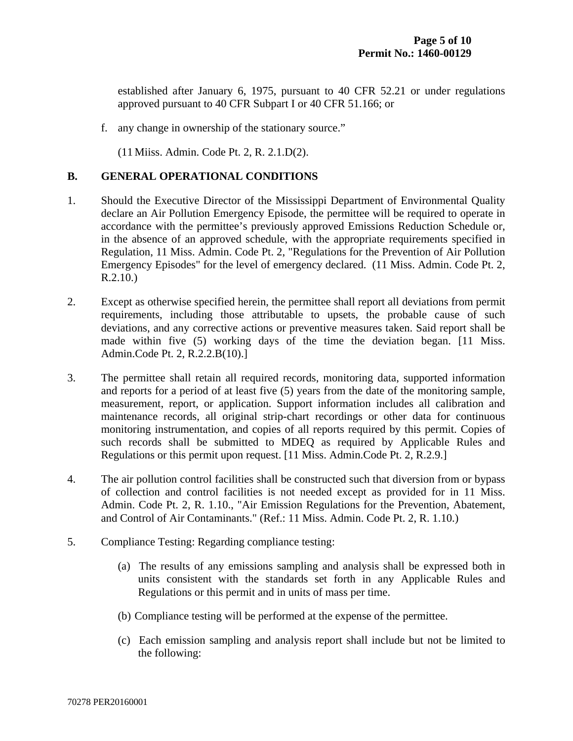established after January 6, 1975, pursuant to 40 CFR 52.21 or under regulations approved pursuant to 40 CFR Subpart I or 40 CFR 51.166; or

f. any change in ownership of the stationary source."

(11 Miiss. Admin. Code Pt. 2, R. 2.1.D(2).

#### **B. GENERAL OPERATIONAL CONDITIONS**

- 1. Should the Executive Director of the Mississippi Department of Environmental Quality declare an Air Pollution Emergency Episode, the permittee will be required to operate in accordance with the permittee's previously approved Emissions Reduction Schedule or, in the absence of an approved schedule, with the appropriate requirements specified in Regulation, 11 Miss. Admin. Code Pt. 2, "Regulations for the Prevention of Air Pollution Emergency Episodes" for the level of emergency declared. (11 Miss. Admin. Code Pt. 2, R.2.10.)
- 2. Except as otherwise specified herein, the permittee shall report all deviations from permit requirements, including those attributable to upsets, the probable cause of such deviations, and any corrective actions or preventive measures taken. Said report shall be made within five (5) working days of the time the deviation began. [11 Miss. Admin.Code Pt. 2, R.2.2.B(10).]
- 3. The permittee shall retain all required records, monitoring data, supported information and reports for a period of at least five (5) years from the date of the monitoring sample, measurement, report, or application. Support information includes all calibration and maintenance records, all original strip-chart recordings or other data for continuous monitoring instrumentation, and copies of all reports required by this permit. Copies of such records shall be submitted to MDEQ as required by Applicable Rules and Regulations or this permit upon request. [11 Miss. Admin.Code Pt. 2, R.2.9.]
- 4. The air pollution control facilities shall be constructed such that diversion from or bypass of collection and control facilities is not needed except as provided for in 11 Miss. Admin. Code Pt. 2, R. 1.10., "Air Emission Regulations for the Prevention, Abatement, and Control of Air Contaminants." (Ref.: 11 Miss. Admin. Code Pt. 2, R. 1.10.)
- 5. Compliance Testing: Regarding compliance testing:
	- (a) The results of any emissions sampling and analysis shall be expressed both in units consistent with the standards set forth in any Applicable Rules and Regulations or this permit and in units of mass per time.
	- (b) Compliance testing will be performed at the expense of the permittee.
	- (c) Each emission sampling and analysis report shall include but not be limited to the following: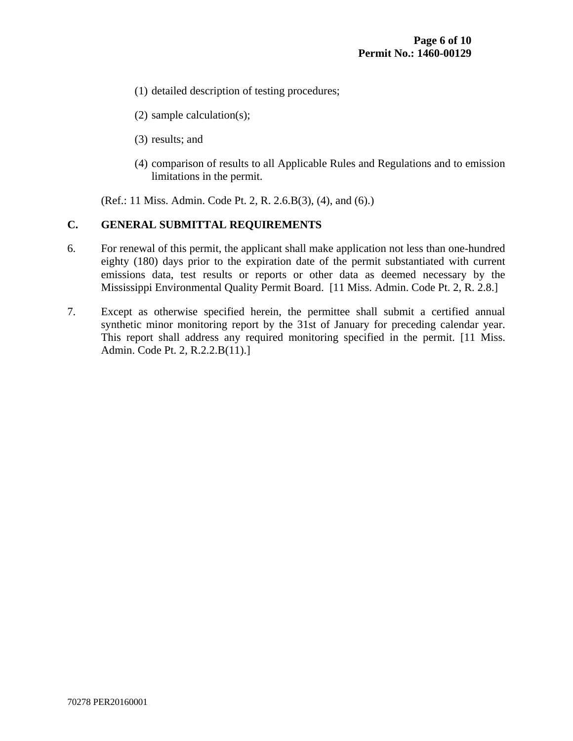- (1) detailed description of testing procedures;
- (2) sample calculation(s);
- (3) results; and
- (4) comparison of results to all Applicable Rules and Regulations and to emission limitations in the permit.

(Ref.: 11 Miss. Admin. Code Pt. 2, R. 2.6.B(3), (4), and (6).)

## **C. GENERAL SUBMITTAL REQUIREMENTS**

- 6. For renewal of this permit, the applicant shall make application not less than one-hundred eighty (180) days prior to the expiration date of the permit substantiated with current emissions data, test results or reports or other data as deemed necessary by the Mississippi Environmental Quality Permit Board. [11 Miss. Admin. Code Pt. 2, R. 2.8.]
- 7. Except as otherwise specified herein, the permittee shall submit a certified annual synthetic minor monitoring report by the 31st of January for preceding calendar year. This report shall address any required monitoring specified in the permit. [11 Miss. Admin. Code Pt. 2, R.2.2.B(11).]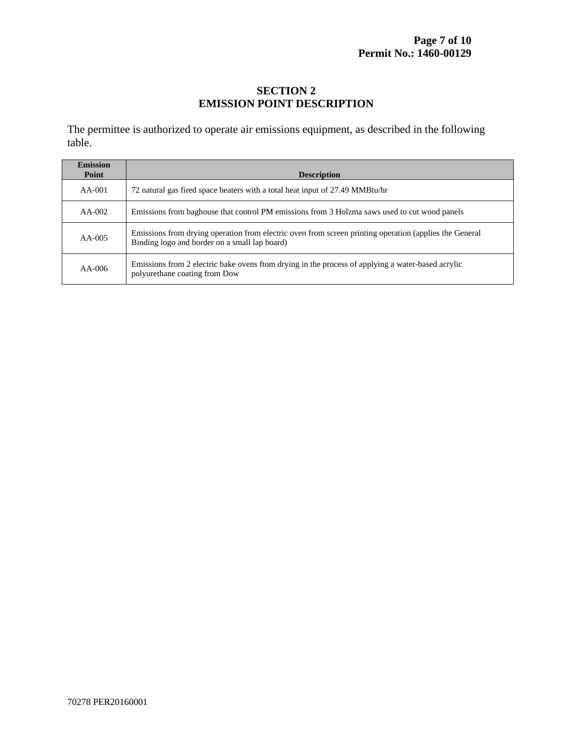## **SECTION 2 EMISSION POINT DESCRIPTION**

The permittee is authorized to operate air emissions equipment, as described in the following table.

| <b>Emission</b><br><b>Point</b> | <b>Description</b>                                                                                                                                      |
|---------------------------------|---------------------------------------------------------------------------------------------------------------------------------------------------------|
| $AA-001$                        | 72 natural gas fired space heaters with a total heat input of 27.49 MMBtu/hr                                                                            |
| $AA-002$                        | Emissions from baghouse that control PM emissions from 3 Holzma saws used to cut wood panels                                                            |
| $AA-005$                        | Emissions from drying operation from electric oven from screen printing operation (applies the General<br>Binding logo and border on a small lap board) |
| $AA-006$                        | Emissions from 2 electric bake ovens from drying in the process of applying a water-based acrylic<br>polyurethane coating from Dow                      |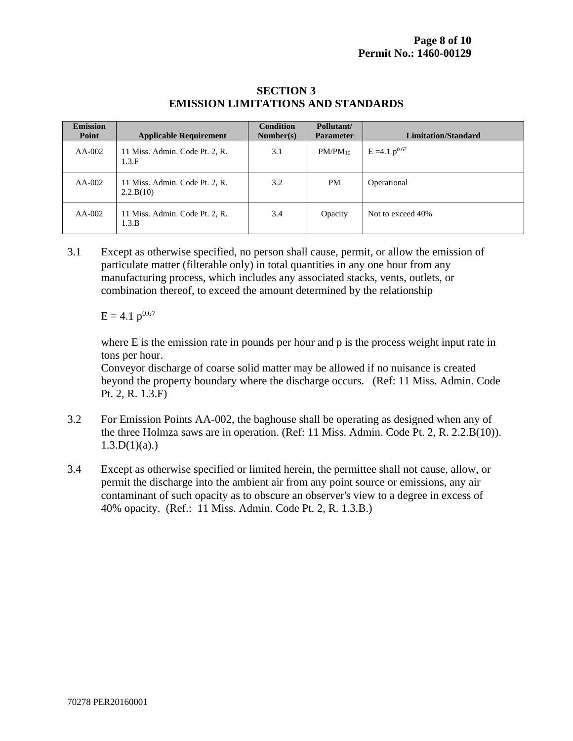#### **SECTION 3 EMISSION LIMITATIONS AND STANDARDS**

| <b>Emission</b><br>Point | <b>Applicable Requirement</b>               | <b>Condition</b><br>Number(s) | Pollutant/<br><b>Parameter</b> | <b>Limitation/Standard</b> |
|--------------------------|---------------------------------------------|-------------------------------|--------------------------------|----------------------------|
| $AA-002$                 | 11 Miss. Admin. Code Pt. 2, R.<br>1.3.F     | 3.1                           | $PM/PM_{10}$                   | $E = 4.1 p^{0.67}$         |
| $AA-002$                 | 11 Miss. Admin. Code Pt. 2, R.<br>2.2.B(10) | 3.2                           | <b>PM</b>                      | Operational                |
| $AA-002$                 | 11 Miss. Admin. Code Pt. 2, R.<br>1.3.B     | 3.4                           | Opacity                        | Not to exceed 40%          |

3.1 Except as otherwise specified, no person shall cause, permit, or allow the emission of particulate matter (filterable only) in total quantities in any one hour from any manufacturing process, which includes any associated stacks, vents, outlets, or combination thereof, to exceed the amount determined by the relationship

 $E = 4.1 p^{0.67}$ 

where E is the emission rate in pounds per hour and p is the process weight input rate in tons per hour.

Conveyor discharge of coarse solid matter may be allowed if no nuisance is created beyond the property boundary where the discharge occurs. (Ref: 11 Miss. Admin. Code Pt. 2, R. 1.3.F)

- 3.2 For Emission Points AA-002, the baghouse shall be operating as designed when any of the three Holmza saws are in operation. (Ref: 11 Miss. Admin. Code Pt. 2, R. 2.2.B(10)).  $1.3.D(1)(a)$ .)
- 3.4 Except as otherwise specified or limited herein, the permittee shall not cause, allow, or permit the discharge into the ambient air from any point source or emissions, any air contaminant of such opacity as to obscure an observer's view to a degree in excess of 40% opacity. (Ref.: 11 Miss. Admin. Code Pt. 2, R. 1.3.B.)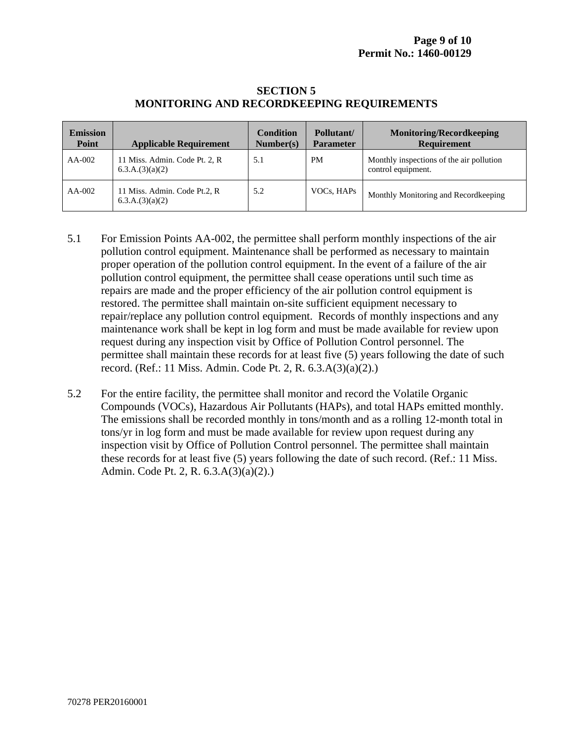#### **SECTION 5 MONITORING AND RECORDKEEPING REQUIREMENTS**

| <b>Emission</b><br>Point | <b>Applicable Requirement</b>                    | Condition<br>Number(s) | Pollutant/<br><b>Parameter</b> | <b>Monitoring/Recordkeeping</b><br><b>Requirement</b>          |
|--------------------------|--------------------------------------------------|------------------------|--------------------------------|----------------------------------------------------------------|
| $AA-002$                 | 11 Miss. Admin. Code Pt. 2, R<br>6.3.A.(3)(a)(2) | 5.1                    | <b>PM</b>                      | Monthly inspections of the air pollution<br>control equipment. |
| $AA-002$                 | 11 Miss. Admin. Code Pt.2, R<br>6.3.A.(3)(a)(2)  | 5.2                    | VOCs, HAPs                     | Monthly Monitoring and Recordkeeping                           |

- 5.1 For Emission Points AA-002, the permittee shall perform monthly inspections of the air pollution control equipment. Maintenance shall be performed as necessary to maintain proper operation of the pollution control equipment. In the event of a failure of the air pollution control equipment, the permittee shall cease operations until such time as repairs are made and the proper efficiency of the air pollution control equipment is restored. The permittee shall maintain on-site sufficient equipment necessary to repair/replace any pollution control equipment. Records of monthly inspections and any maintenance work shall be kept in log form and must be made available for review upon request during any inspection visit by Office of Pollution Control personnel. The permittee shall maintain these records for at least five (5) years following the date of such record. (Ref.: 11 Miss. Admin. Code Pt. 2, R. 6.3.A(3)(a)(2).)
- 5.2 For the entire facility, the permittee shall monitor and record the Volatile Organic Compounds (VOCs), Hazardous Air Pollutants (HAPs), and total HAPs emitted monthly. The emissions shall be recorded monthly in tons/month and as a rolling 12-month total in tons/yr in log form and must be made available for review upon request during any inspection visit by Office of Pollution Control personnel. The permittee shall maintain these records for at least five (5) years following the date of such record. (Ref.: 11 Miss. Admin. Code Pt. 2, R. 6.3.A(3)(a)(2).)